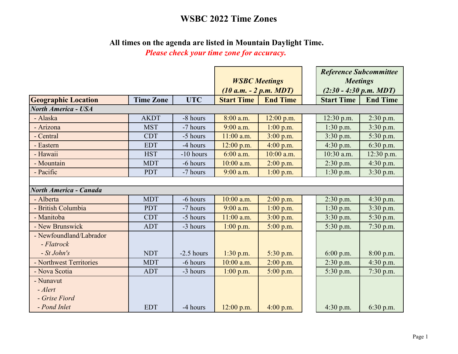### **All times on the agenda are listed in Mountain Daylight Time.**

|                               |                  |              |                                                  |                 |  | <b>Reference Subcommittee</b>               |                 |  |
|-------------------------------|------------------|--------------|--------------------------------------------------|-----------------|--|---------------------------------------------|-----------------|--|
|                               |                  |              | <b>WSBC</b> Meetings<br>$(10 a.m. - 2 p.m. MDT)$ |                 |  | <b>Meetings</b><br>$(2:30 - 4:30 p.m. MDT)$ |                 |  |
|                               |                  |              |                                                  |                 |  |                                             |                 |  |
| <b>Geographic Location</b>    | <b>Time Zone</b> | <b>UTC</b>   | <b>Start Time</b>                                | <b>End Time</b> |  | <b>Start Time</b>                           | <b>End Time</b> |  |
| <b>North America - USA</b>    |                  |              |                                                  |                 |  |                                             |                 |  |
| - Alaska                      | <b>AKDT</b>      | -8 hours     | 8:00 a.m.                                        | 12:00 p.m.      |  | 12:30 p.m.                                  | 2:30 p.m.       |  |
| - Arizona                     | <b>MST</b>       | -7 hours     | 9:00 a.m.                                        | $1:00$ p.m.     |  | $1:30$ p.m.                                 | 3:30 p.m.       |  |
| - Central                     | <b>CDT</b>       | -5 hours     | $11:00$ a.m.                                     | $3:00$ p.m.     |  | 3:30 p.m.                                   | 5:30 p.m.       |  |
| - Eastern                     | <b>EDT</b>       | -4 hours     | 12:00 p.m.                                       | $4:00$ p.m.     |  | 4:30 p.m.                                   | 6:30 p.m.       |  |
| - Hawaii                      | <b>HST</b>       | $-10$ hours  | $6:00$ a.m.                                      | $10:00$ a.m.    |  | 10:30 a.m.                                  | 12:30 p.m.      |  |
| - Mountain                    | <b>MDT</b>       | -6 hours     | $10:00$ a.m.                                     | $2:00$ p.m.     |  | 2:30 p.m.                                   | 4:30 p.m.       |  |
| - Pacific                     | <b>PDT</b>       | -7 hours     | 9:00 a.m.                                        | $1:00$ p.m.     |  | $1:30$ p.m.                                 | 3:30 p.m.       |  |
|                               |                  |              |                                                  |                 |  |                                             |                 |  |
| <b>North America - Canada</b> |                  |              |                                                  |                 |  |                                             |                 |  |
| - Alberta                     | <b>MDT</b>       | -6 hours     | $10:00$ a.m.                                     | $2:00$ p.m.     |  | $2:30$ p.m.                                 | $4:30$ p.m.     |  |
| - British Columbia            | <b>PDT</b>       | -7 hours     | $9:00$ a.m.                                      | $1:00$ p.m.     |  | 1:30 p.m.                                   | 3:30 p.m.       |  |
| - Manitoba                    | <b>CDT</b>       | -5 hours     | $11:00$ a.m.                                     | $3:00$ p.m.     |  | 3:30 p.m.                                   | 5:30 p.m.       |  |
| - New Brunswick               | <b>ADT</b>       | -3 hours     | $1:00$ p.m.                                      | $5:00$ p.m.     |  | 5:30 p.m.                                   | 7:30 p.m.       |  |
| - Newfoundland/Labrador       |                  |              |                                                  |                 |  |                                             |                 |  |
| - Flatrock                    |                  |              |                                                  |                 |  |                                             |                 |  |
| $-St\ John's$                 | <b>NDT</b>       | $-2.5$ hours | $1:30$ p.m.                                      | 5:30 p.m.       |  | $6:00$ p.m.                                 | 8:00 p.m.       |  |
| - Northwest Territories       | <b>MDT</b>       | -6 hours     | 10:00 a.m.                                       | $2:00$ p.m.     |  | 2:30 p.m.                                   | 4:30 p.m.       |  |
| - Nova Scotia                 | <b>ADT</b>       | -3 hours     | $1:00$ p.m.                                      | $5:00$ p.m.     |  | 5:30 p.m.                                   | 7:30 p.m.       |  |
| - Nunavut                     |                  |              |                                                  |                 |  |                                             |                 |  |
| - Alert                       |                  |              |                                                  |                 |  |                                             |                 |  |
| - Grise Fiord                 |                  |              |                                                  |                 |  |                                             |                 |  |
| - Pond Inlet                  | <b>EDT</b>       | -4 hours     | 12:00 p.m.                                       | 4:00 p.m.       |  | 4:30 p.m.                                   | $6:30$ p.m.     |  |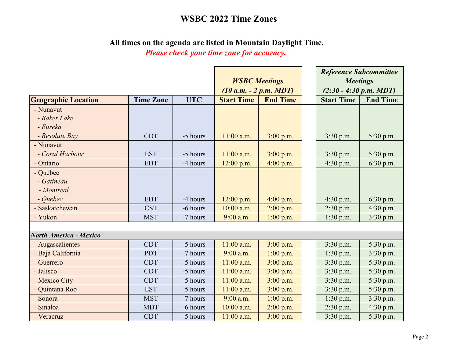### **All times on the agenda are listed in Mountain Daylight Time.**

|                               |                  |            | <b>WSBC</b> Meetings<br>$(10 a.m. - 2 p.m. MDT)$ |                 |  | <b>Reference Subcommittee</b><br><b>Meetings</b><br>$(2:30 - 4:30 p.m. MDT)$ |                 |  |
|-------------------------------|------------------|------------|--------------------------------------------------|-----------------|--|------------------------------------------------------------------------------|-----------------|--|
| <b>Geographic Location</b>    | <b>Time Zone</b> | <b>UTC</b> | <b>Start Time</b>                                | <b>End Time</b> |  | <b>Start Time</b>                                                            | <b>End Time</b> |  |
| - Nunavut                     |                  |            |                                                  |                 |  |                                                                              |                 |  |
| - Baker Lake                  |                  |            |                                                  |                 |  |                                                                              |                 |  |
| - Eureka                      |                  |            |                                                  |                 |  |                                                                              |                 |  |
| - Resolute Bay                | <b>CDT</b>       | -5 hours   | $11:00$ a.m.                                     | $3:00$ p.m.     |  | 3:30 p.m.                                                                    | 5:30 p.m.       |  |
| - Nunavut                     |                  |            |                                                  |                 |  |                                                                              |                 |  |
| - Coral Harbour               | <b>EST</b>       | -5 hours   | $11:00$ a.m.                                     | $3:00$ p.m.     |  | $3:30$ p.m.                                                                  | 5:30 p.m.       |  |
| - Ontario                     | <b>EDT</b>       | -4 hours   | $12:00$ p.m.                                     | 4:00 p.m.       |  | 4:30 p.m.                                                                    | 6:30 p.m.       |  |
| - Quebec                      |                  |            |                                                  |                 |  |                                                                              |                 |  |
| - Gatineau                    |                  |            |                                                  |                 |  |                                                                              |                 |  |
| - Montreal                    |                  |            |                                                  |                 |  |                                                                              |                 |  |
| - Quebec                      | <b>EDT</b>       | -4 hours   | $12:00$ p.m.                                     | 4:00 p.m.       |  | 4:30 p.m.                                                                    | 6:30 p.m.       |  |
| - Saskatchewan                | <b>CST</b>       | -6 hours   | 10:00 a.m.                                       | $2:00$ p.m.     |  | 2:30 p.m.                                                                    | 4:30 p.m.       |  |
| - Yukon                       | <b>MST</b>       | -7 hours   | 9:00 a.m.                                        | $1:00$ p.m.     |  | $1:30$ p.m.                                                                  | 3:30 p.m.       |  |
|                               |                  |            |                                                  |                 |  |                                                                              |                 |  |
| <b>North America - Mexico</b> |                  |            |                                                  |                 |  |                                                                              |                 |  |
| - Augascalientes              | <b>CDT</b>       | -5 hours   | $11:00$ a.m.                                     | 3:00 p.m.       |  | 3:30 p.m.                                                                    | 5:30 p.m.       |  |
| - Baja California             | <b>PDT</b>       | -7 hours   | $9:00$ a.m.                                      | $1:00$ p.m.     |  | 1:30 p.m.                                                                    | 3:30 p.m.       |  |
| - Guerrero                    | <b>CDT</b>       | -5 hours   | $11:00$ a.m.                                     | $3:00$ p.m.     |  | $3:30$ p.m.                                                                  | 5:30 p.m.       |  |
| - Jalisco                     | <b>CDT</b>       | -5 hours   | $11:00$ a.m.                                     | 3:00 p.m.       |  | $3:30$ p.m.                                                                  | 5:30 p.m.       |  |
| - Mexico City                 | <b>CDT</b>       | -5 hours   | $11:00$ a.m.                                     | 3:00 p.m.       |  | $3:30$ p.m.                                                                  | 5:30 p.m.       |  |
| - Quintana Roo                | <b>EST</b>       | -5 hours   | $11:00$ a.m.                                     | 3:00 p.m.       |  | 3:30 p.m.                                                                    | 5:30 p.m.       |  |
| - Sonora                      | <b>MST</b>       | -7 hours   | 9:00 a.m.                                        | $1:00$ p.m.     |  | $1:30$ p.m.                                                                  | 3:30 p.m.       |  |
| - Sinaloa                     | <b>MDT</b>       | -6 hours   | 10:00 a.m.                                       | 2:00 p.m.       |  | $2:30$ p.m.                                                                  | 4:30 p.m.       |  |
| - Veracruz                    | <b>CDT</b>       | -5 hours   | $11:00$ a.m.                                     | $3:00$ p.m.     |  | 3:30 p.m.                                                                    | 5:30 p.m.       |  |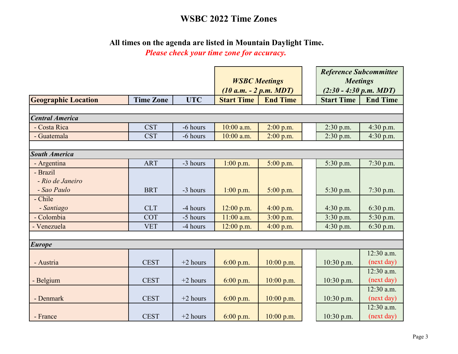### **All times on the agenda are listed in Mountain Daylight Time.**

|                            |                  |            | <b>WSBC</b> Meetings<br>$(10 a.m. - 2 p.m. MDT)$ |                 |  | <b>Reference Subcommittee</b><br><b>Meetings</b><br>$(2:30 - 4:30 p.m. MDT)$ |                 |
|----------------------------|------------------|------------|--------------------------------------------------|-----------------|--|------------------------------------------------------------------------------|-----------------|
| <b>Geographic Location</b> | <b>Time Zone</b> | <b>UTC</b> | <b>Start Time</b>                                | <b>End Time</b> |  | <b>Start Time</b>                                                            | <b>End Time</b> |
|                            |                  |            |                                                  |                 |  |                                                                              |                 |
| <b>Central America</b>     |                  |            |                                                  |                 |  |                                                                              |                 |
| - Costa Rica               | <b>CST</b>       | -6 hours   | $10:00$ a.m.                                     | $2:00$ p.m.     |  | 2:30 p.m.                                                                    | 4:30 p.m.       |
| - Guatemala                | <b>CST</b>       | -6 hours   | 10:00 a.m.                                       | $2:00$ p.m.     |  | 2:30 p.m.                                                                    | 4:30 p.m.       |
|                            |                  |            |                                                  |                 |  |                                                                              |                 |
| <b>South America</b>       |                  |            |                                                  |                 |  |                                                                              |                 |
| - Argentina                | <b>ART</b>       | -3 hours   | $1:00$ p.m.                                      | 5:00 p.m.       |  | 5:30 p.m.                                                                    | $7:30$ p.m.     |
| - Brazil                   |                  |            |                                                  |                 |  |                                                                              |                 |
| - Rio de Janeiro           |                  |            |                                                  |                 |  |                                                                              |                 |
| - Sao Paulo                | <b>BRT</b>       | -3 hours   | 1:00 p.m.                                        | 5:00 p.m.       |  | 5:30 p.m.                                                                    | 7:30 p.m.       |
| - Chile                    |                  |            |                                                  |                 |  |                                                                              |                 |
| - Santiago                 | <b>CLT</b>       | -4 hours   | $12:00$ p.m.                                     | 4:00 p.m.       |  | $4:30$ p.m.                                                                  | 6:30 p.m.       |
| - Colombia                 | <b>COT</b>       | -5 hours   | $11:00$ a.m.                                     | 3:00 p.m.       |  | 3:30 p.m.                                                                    | 5:30 p.m.       |
| - Venezuela                | <b>VET</b>       | -4 hours   | $12:00$ p.m.                                     | 4:00 p.m.       |  | 4:30 p.m.                                                                    | 6:30 p.m.       |
|                            |                  |            |                                                  |                 |  |                                                                              |                 |
| <b>Europe</b>              |                  |            |                                                  |                 |  |                                                                              |                 |
|                            |                  |            |                                                  |                 |  |                                                                              | 12:30 a.m.      |
| - Austria                  | <b>CEST</b>      | $+2$ hours | 6:00 p.m.                                        | 10:00 p.m.      |  | 10:30 p.m.                                                                   | (next day)      |
|                            |                  |            |                                                  |                 |  |                                                                              | 12:30 a.m.      |
| - Belgium                  | <b>CEST</b>      | $+2$ hours | $6:00$ p.m.                                      | $10:00$ p.m.    |  | 10:30 p.m.                                                                   | (next day)      |
|                            |                  |            |                                                  |                 |  |                                                                              | 12:30 a.m.      |
| - Denmark                  | <b>CEST</b>      | $+2$ hours | 6:00 p.m.                                        | 10:00 p.m.      |  | 10:30 p.m.                                                                   | (next day)      |
|                            |                  |            |                                                  |                 |  |                                                                              | 12:30 a.m.      |
| - France                   | <b>CEST</b>      | $+2$ hours | 6:00 p.m.                                        | 10:00 p.m.      |  | 10:30 p.m.                                                                   | (next day)      |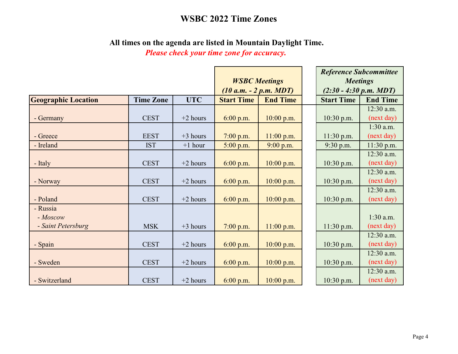### **All times on the agenda are listed in Mountain Daylight Time.**

|                            |                  |            |                          |                 |  | <b>Reference Subcommittee</b> |                 |
|----------------------------|------------------|------------|--------------------------|-----------------|--|-------------------------------|-----------------|
|                            |                  |            | <b>WSBC</b> Meetings     |                 |  | <b>Meetings</b>               |                 |
|                            |                  |            | $(10 a.m. - 2 p.m. MDT)$ |                 |  | $(2:30 - 4:30 p.m. MDT)$      |                 |
| <b>Geographic Location</b> | <b>Time Zone</b> | <b>UTC</b> | <b>Start Time</b>        | <b>End Time</b> |  | <b>Start Time</b>             | <b>End Time</b> |
|                            |                  |            |                          |                 |  |                               | 12:30 a.m.      |
| - Germany                  | <b>CEST</b>      | $+2$ hours | $6:00$ p.m.              | $10:00$ p.m.    |  | 10:30 p.m.                    | (next day)      |
|                            |                  |            |                          |                 |  |                               | $1:30$ a.m.     |
| - Greece                   | <b>EEST</b>      | $+3$ hours | $7:00$ p.m.              | $11:00$ p.m.    |  | $11:30$ p.m.                  | (next day)      |
| - Ireland                  | <b>IST</b>       | $+1$ hour  | 5:00 p.m.                | $9:00$ p.m.     |  | 9:30 p.m.                     | 11:30 p.m.      |
|                            |                  |            |                          |                 |  |                               | 12:30 a.m.      |
| - Italy                    | <b>CEST</b>      | $+2$ hours | $6:00$ p.m.              | $10:00$ p.m.    |  | 10:30 p.m.                    | (next day)      |
|                            |                  |            |                          |                 |  |                               | 12:30 a.m.      |
| - Norway                   | <b>CEST</b>      | $+2$ hours | 6:00 p.m.                | $10:00$ p.m.    |  | 10:30 p.m.                    | (next day)      |
|                            |                  |            |                          |                 |  |                               | 12:30 a.m.      |
| - Poland                   | <b>CEST</b>      | $+2$ hours | 6:00 p.m.                | $10:00$ p.m.    |  | 10:30 p.m.                    | (next day)      |
| - Russia                   |                  |            |                          |                 |  |                               |                 |
| $-Moscov$                  |                  |            |                          |                 |  |                               | $1:30$ a.m.     |
| - Saint Petersburg         | <b>MSK</b>       | $+3$ hours | 7:00 p.m.                | $11:00$ p.m.    |  | 11:30 p.m.                    | (next day)      |
|                            |                  |            |                          |                 |  |                               | 12:30 a.m.      |
| - Spain                    | <b>CEST</b>      | $+2$ hours | $6:00$ p.m.              | $10:00$ p.m.    |  | 10:30 p.m.                    | (next day)      |
|                            |                  |            |                          |                 |  |                               | 12:30 a.m.      |
| - Sweden                   | <b>CEST</b>      | $+2$ hours | $6:00$ p.m.              | $10:00$ p.m.    |  | 10:30 p.m.                    | (next day)      |
|                            |                  |            |                          |                 |  |                               | 12:30 a.m.      |
| - Switzerland              | <b>CEST</b>      | $+2$ hours | 6:00 p.m.                | $10:00$ p.m.    |  | 10:30 p.m.                    | (next day)      |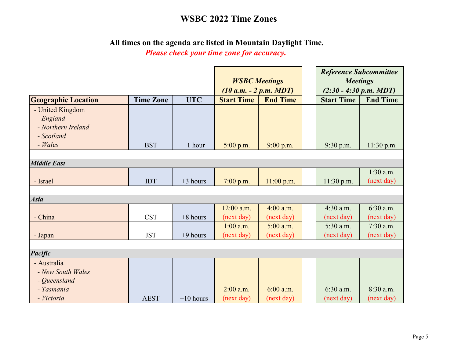**All times on the agenda are listed in Mountain Daylight Time.**

|                            |                  |             | <b>WSBC</b> Meetings<br>$(10 a.m. - 2 p.m. MDT)$ |                 | <b>Reference Subcommittee</b> |                 |  |
|----------------------------|------------------|-------------|--------------------------------------------------|-----------------|-------------------------------|-----------------|--|
|                            |                  |             |                                                  |                 |                               | <b>Meetings</b> |  |
|                            |                  |             |                                                  |                 | $(2:30 - 4:30 p.m. MDT)$      |                 |  |
| <b>Geographic Location</b> | <b>Time Zone</b> | <b>UTC</b>  | <b>Start Time</b>                                | <b>End Time</b> | <b>Start Time</b>             | <b>End Time</b> |  |
| - United Kingdom           |                  |             |                                                  |                 |                               |                 |  |
| - England                  |                  |             |                                                  |                 |                               |                 |  |
| - Northern Ireland         |                  |             |                                                  |                 |                               |                 |  |
| - Scotland                 |                  |             |                                                  |                 |                               |                 |  |
| $-Wales$                   | <b>BST</b>       | $+1$ hour   | 5:00 p.m.                                        | $9:00$ p.m.     | $9:30$ p.m.                   | 11:30 p.m.      |  |
|                            |                  |             |                                                  |                 |                               |                 |  |
| <b>Middle East</b>         |                  |             |                                                  |                 |                               |                 |  |
|                            |                  |             |                                                  |                 |                               | $1:30$ a.m.     |  |
| - Israel                   | <b>IDT</b>       | $+3$ hours  | 7:00 p.m.                                        | $11:00$ p.m.    | 11:30 p.m.                    | (next day)      |  |
|                            |                  |             |                                                  |                 |                               |                 |  |
| <b>Asia</b>                |                  |             |                                                  |                 |                               |                 |  |
|                            |                  |             | $12:00$ a.m.                                     | $4:00$ a.m.     | $4:30$ a.m.                   | $6:30$ a.m.     |  |
| - China                    | <b>CST</b>       | $+8$ hours  | (next day)                                       | (next day)      | (next day)                    | (next day)      |  |
|                            |                  |             | $1:00$ a.m.                                      | $5:00$ a.m.     | 5:30 a.m.                     | 7:30 a.m.       |  |
| - Japan                    | <b>JST</b>       | $+9$ hours  | (next day)                                       | (next day)      | (next day)                    | (next day)      |  |
|                            |                  |             |                                                  |                 |                               |                 |  |
| <b>Pacific</b>             |                  |             |                                                  |                 |                               |                 |  |
| - Australia                |                  |             |                                                  |                 |                               |                 |  |
| - New South Wales          |                  |             |                                                  |                 |                               |                 |  |
| - Queensland               |                  |             |                                                  |                 |                               |                 |  |
| - Tasmania                 |                  |             | $2:00$ a.m.                                      | 6:00 a.m.       | 6:30 a.m.                     | 8:30 a.m.       |  |
| - Victoria                 | <b>AEST</b>      | $+10$ hours | (next day)                                       | (next day)      | (next day)                    | (next day)      |  |